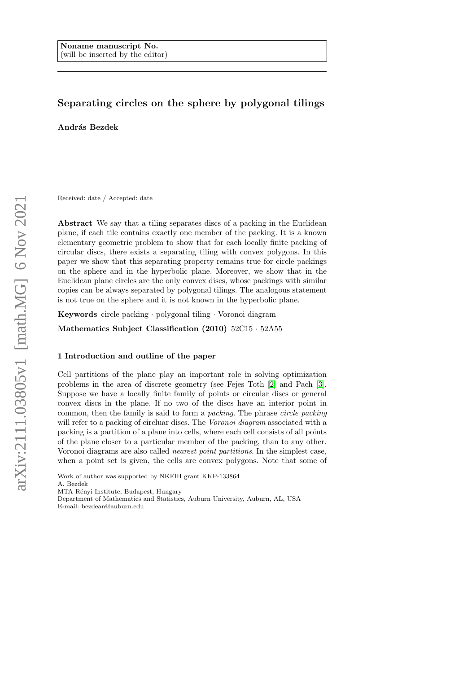# Separating circles on the sphere by polygonal tilings

András Bezdek

Received: date / Accepted: date

Abstract We say that a tiling separates discs of a packing in the Euclidean plane, if each tile contains exactly one member of the packing. It is a known elementary geometric problem to show that for each locally finite packing of circular discs, there exists a separating tiling with convex polygons. In this paper we show that this separating property remains true for circle packings on the sphere and in the hyperbolic plane. Moreover, we show that in the Euclidean plane circles are the only convex discs, whose packings with similar copies can be always separated by polygonal tilings. The analogous statement is not true on the sphere and it is not known in the hyperbolic plane.

Keywords circle packing · polygonal tiling · Voronoi diagram

Mathematics Subject Classification (2010) 52C15 · 52A55

## 1 Introduction and outline of the paper

Cell partitions of the plane play an important role in solving optimization problems in the area of discrete geometry (see Fejes Toth [\[2\]](#page-10-0) and Pach [\[3\]](#page-10-1). Suppose we have a locally finite family of points or circular discs or general convex discs in the plane. If no two of the discs have an interior point in common, then the family is said to form a packing. The phrase circle packing will refer to a packing of circluar discs. The Voronoi diagram associated with a packing is a partition of a plane into cells, where each cell consists of all points of the plane closer to a particular member of the packing, than to any other. Voronoi diagrams are also called nearest point partitions. In the simplest case, when a point set is given, the cells are convex polygons. Note that some of

A. Bezdek

Work of author was supported by NKFIH grant KKP-133864

MTA Rényi Institute, Budapest, Hungary

Department of Mathematics and Statistics, Auburn University, Auburn, AL, USA E-mail: bezdean@auburn.edu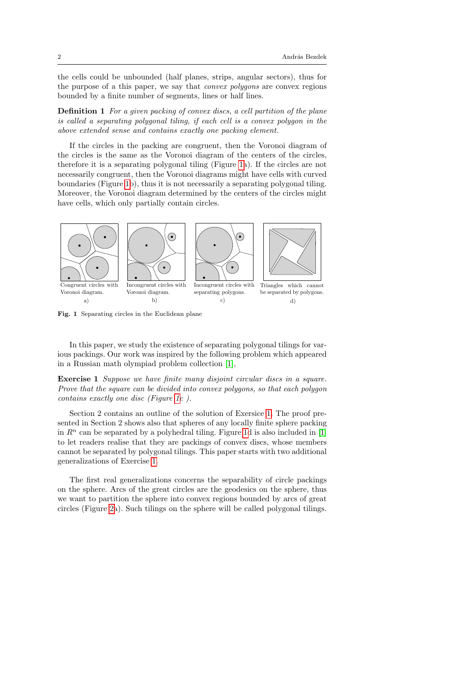the cells could be unbounded (half planes, strips, angular sectors), thus for the purpose of a this paper, we say that convex polygons are convex regions bounded by a finite number of segments, lines or half lines.

Definition 1 For a given packing of convex discs, a cell partition of the plane is called a separating polygonal tiling, if each cell is a convex polygon in the above extended sense and contains exactly one packing element.

If the circles in the packing are congruent, then the Voronoi diagram of the circles is the same as the Voronoi diagram of the centers of the circles, therefore it is a separating polygonal tiling (Figure [1a](#page-1-0)). If the circles are not necessarily congruent, then the Voronoi diagrams might have cells with curved boundaries (Figure [1b](#page-1-0)), thus it is not necessarily a separating polygonal tiling. Moreover, the Voronoi diagram determined by the centers of the circles might have cells, which only partially contain circles.



<span id="page-1-0"></span>Fig. 1 Separating circles in the Euclidean plane

In this paper, we study the existence of separating polygonal tilings for various packings. Our work was inspired by the following problem which appeared in a Russian math olympiad problem collection [\[1\]](#page-10-2),

<span id="page-1-1"></span>Exercise 1 Suppose we have finite many disjoint circular discs in a square. Prove that the square can be divided into convex polygons, so that each polygon contains exactly one disc (Figure [1c](#page-1-0) ).

Section 2 contains an outline of the solution of Exersice [1.](#page-1-1) The proof presented in Section 2 shows also that spheres of any locally finite sphere packing in  $R<sup>n</sup>$  can be separated by a polyhedral tiling. Figure [1d](#page-1-0) is also included in [\[1\]](#page-10-2) to let readers realise that they are packings of convex discs, whose members cannot be separated by polygonal tilings. This paper starts with two additional generalizations of Exercise [1.](#page-1-1)

The first real generalizations concerns the separability of circle packings on the sphere. Arcs of the great circles are the geodesics on the sphere, thus we want to partition the sphere into convex regions bounded by arcs of great circles (Figure [2a](#page-2-0)). Such tilings on the sphere will be called polygonal tilings.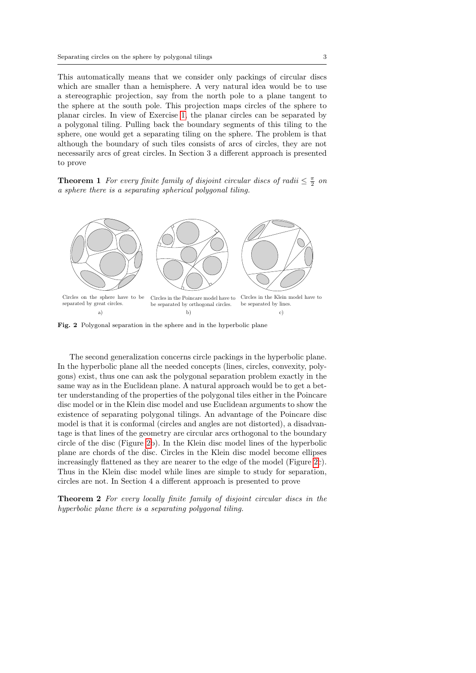This automatically means that we consider only packings of circular discs which are smaller than a hemisphere. A very natural idea would be to use a stereographic projection, say from the north pole to a plane tangent to the sphere at the south pole. This projection maps circles of the sphere to planar circles. In view of Exercise [1,](#page-1-1) the planar circles can be separated by a polygonal tiling. Pulling back the boundary segments of this tiling to the sphere, one would get a separating tiling on the sphere. The problem is that although the boundary of such tiles consists of arcs of circles, they are not necessarily arcs of great circles. In Section 3 a different approach is presented to prove

<span id="page-2-1"></span>**Theorem 1** For every finite family of disjoint circular discs of radii  $\leq \frac{\pi}{2}$  on a sphere there is a separating spherical polygonal tiling.



<span id="page-2-0"></span>Fig. 2 Polygonal separation in the sphere and in the hyperbolic plane

The second generalization concerns circle packings in the hyperbolic plane. In the hyperbolic plane all the needed concepts (lines, circles, convexity, polygons) exist, thus one can ask the polygonal separation problem exactly in the same way as in the Euclidean plane. A natural approach would be to get a better understanding of the properties of the polygonal tiles either in the Poincare disc model or in the Klein disc model and use Euclidean arguments to show the existence of separating polygonal tilings. An advantage of the Poincare disc model is that it is conformal (circles and angles are not distorted), a disadvantage is that lines of the geometry are circular arcs orthogonal to the boundary circle of the disc (Figure [2b](#page-2-0)). In the Klein disc model lines of the hyperbolic plane are chords of the disc. Circles in the Klein disc model become ellipses increasingly flattened as they are nearer to the edge of the model (Figure [2c](#page-2-0)). Thus in the Klein disc model while lines are simple to study for separation, circles are not. In Section 4 a different approach is presented to prove

<span id="page-2-2"></span>Theorem 2 For every locally finite family of disjoint circular discs in the hyperbolic plane there is a separating polygonal tiling.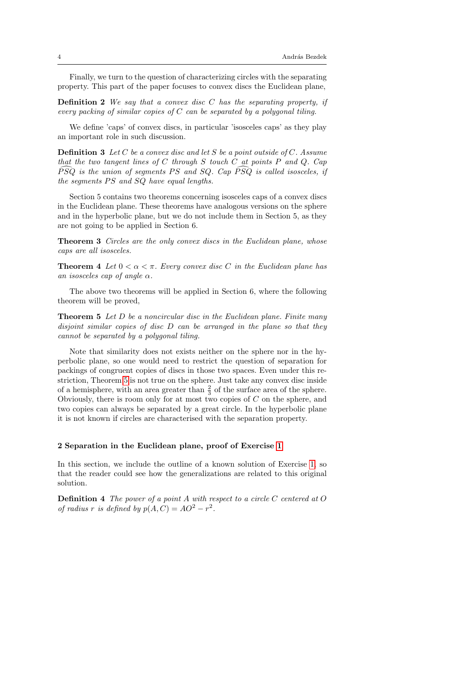Finally, we turn to the question of characterizing circles with the separating property. This part of the paper focuses to convex discs the Euclidean plane,

**Definition 2** We say that a convex disc  $C$  has the separating property, if every packing of similar copies of  $C$  can be separated by a polygonal tiling.

We define 'caps' of convex discs, in particular 'isosceles caps' as they play an important role in such discussion.

**Definition 3** Let C be a convex disc and let S be a point outside of C. Assume that the two tangent lines of  $C$  through  $S$  touch  $C$  at points  $P$  and  $Q$ . Cap  $\widehat{PSQ}$  is the union of segments PS and SQ. Cap  $\widehat{PSQ}$  is called isosceles, if the segments  $PS$  and  $SQ$  have equal lengths.

Section 5 contains two theorems concerning isosceles caps of a convex discs in the Euclidean plane. These theorems have analogous versions on the sphere and in the hyperbolic plane, but we do not include them in Section 5, as they are not going to be applied in Section 6.

<span id="page-3-1"></span>Theorem 3 Circles are the only convex discs in the Euclidean plane, whose caps are all isosceles.

<span id="page-3-2"></span>**Theorem 4** Let  $0 < \alpha < \pi$ . Every convex disc C in the Euclidean plane has an isosceles cap of angle  $\alpha$ .

The above two theorems will be applied in Section 6, where the following theorem will be proved,

<span id="page-3-0"></span>**Theorem 5** Let  $D$  be a noncircular disc in the Euclidean plane. Finite many disjoint similar copies of disc D can be arranged in the plane so that they cannot be separated by a polygonal tiling.

Note that similarity does not exists neither on the sphere nor in the hyperbolic plane, so one would need to restrict the question of separation for packings of congruent copies of discs in those two spaces. Even under this restriction, Theorem [5](#page-3-0) is not true on the sphere. Just take any convex disc inside of a hemisphere, with an area greater than  $\frac{2}{3}$  of the surface area of the sphere. Obviously, there is room only for at most two copies of C on the sphere, and two copies can always be separated by a great circle. In the hyperbolic plane it is not known if circles are characterised with the separation property.

#### 2 Separation in the Euclidean plane, proof of Exercise [1](#page-1-1)

In this section, we include the outline of a known solution of Exercise [1,](#page-1-1) so that the reader could see how the generalizations are related to this original solution.

**Definition 4** The power of a point A with respect to a circle C centered at O of radius r is defined by  $p(A, C) = AO^2 - r^2$ .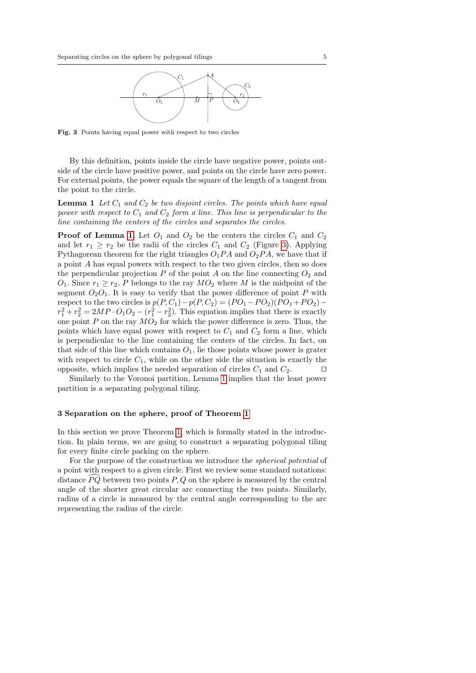

<span id="page-4-1"></span>Fig. 3 Points having equal power with respect to two circles

By this definition, points inside the circle have negative power, points outside of the circle have positive power, and points on the circle have zero power. For external points, the power equals the square of the length of a tangent from the point to the circle.

<span id="page-4-0"></span>**Lemma 1** Let  $C_1$  and  $C_2$  be two disjoint circles. The points which have equal power with respect to  $C_1$  and  $C_2$  form a line. This line is perpendicular to the line containing the centers of the circles and separates the circles.

**Proof of Lemma [1.](#page-4-0)** Let  $O_1$  and  $O_2$  be the centers the circles  $C_1$  and  $C_2$ and let  $r_1 \geq r_2$  be the radii of the circles  $C_1$  and  $C_2$  (Figure [3\)](#page-4-1). Applying Pythagorean theorem for the right triangles  $O_1PA$  and  $O_2PA$ , we have that if a point A has equal powers with respect to the two given circles, then so does the perpendicular projection  $P$  of the point  $A$  on the line connecting  $O_2$  and  $O_1$ . Since  $r_1 \ge r_2$ , P belongs to the ray  $MO_2$  where M is the midpoint of the segment  $O_2O_1$ . It is easy to verify that the power difference of point P with respect to the two circles is  $p(P, C_1)-p(P, C_2) = (PO_1 - PO_2)(PO_1 + PO_2)$  $r_1^2 + r_2^2 = 2MP \cdot O_1O_2 - (r_1^2 - r_2^2)$ . This equation implies that there is exactly one point  $P$  on the ray  $MO<sub>2</sub>$  for which the power difference is zero. Thus, the points which have equal power with respect to  $C_1$  and  $C_2$  form a line, which is perpendicular to the line containing the centers of the circles. In fact, on that side of this line which contains  $O_1$ , lie those points whose power is grater with respect to circle  $C_1$ , while on the other side the situation is exactly the opposite, which implies the needed separation of circles  $C_1$  and  $C_2$ .

Similarly to the Voronoi partition, Lemma [1](#page-4-0) implies that the least power partition is a separating polygonal tiling.

#### 3 Separation on the sphere, proof of Theorem [1](#page-2-1)

In this section we prove Theorem [1,](#page-2-1) which is formally stated in the introduction. In plain terms, we are going to construct a separating polygonal tiling for every finite circle packing on the sphere.

For the purpose of the construction we introduce the spherical potential of a point with respect to a given circle. First we review some standard notations: distance  $\overline{PQ}$  between two points  $P, Q$  on the sphere is measured by the central angle of the shorter great circular arc connecting the two points. Similarly, radius of a circle is measured by the central angle corresponding to the arc representing the radius of the circle.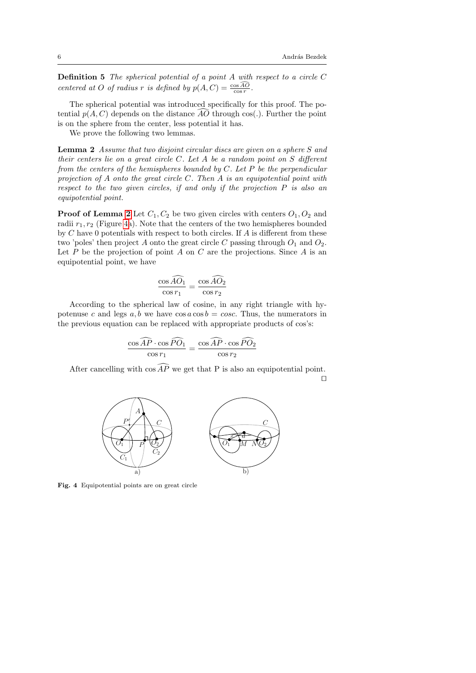**Definition 5** The spherical potential of a point  $A$  with respect to a circle  $C$ centered at O of radius r is defined by  $p(A, C) = \frac{\cos A O}{\cos r}$ .

The spherical potential was introduced specifically for this proof. The potential  $p(A, C)$  depends on the distance AO through cos(.). Further the point is on the sphere from the center, less potential it has.

We prove the following two lemmas.

<span id="page-5-0"></span>**Lemma 2** Assume that two disjoint circular discs are given on a sphere S and their centers lie on a great circle C. Let A be a random point on S different from the centers of the hemispheres bounded by  $C$ . Let  $P$  be the perpendicular projection of A onto the great circle C. Then A is an equipotential point with respect to the two given circles, if and only if the projection  $P$  is also an equipotential point.

**Proof of Lemma [2](#page-5-0)** Let  $C_1, C_2$  be two given circles with centers  $O_1, O_2$  and radii  $r_1, r_2$  (Figure [4a](#page-5-1)). Note that the centers of the two hemispheres bounded by  $C$  have 0 potentials with respect to both circles. If  $A$  is different from these two 'poles' then project A onto the great circle C passing through  $O_1$  and  $O_2$ . Let  $P$  be the projection of point  $A$  on  $C$  are the projections. Since  $A$  is an equipotential point, we have

$$
\frac{\cos \widehat{AO}_1}{\cos r_1} = \frac{\cos \widehat{AO}_2}{\cos r_2}
$$

According to the spherical law of cosine, in any right triangle with hypotenuse c and legs  $a, b$  we have  $\cos a \cos b = \cos c$ . Thus, the numerators in the previous equation can be replaced with appropriate products of cos's:

$$
\frac{\cos \widehat{AP} \cdot \cos \widehat{PO}_1}{\cos r_1} = \frac{\cos \widehat{AP} \cdot \cos \widehat{PO}_2}{\cos r_2}
$$

After cancelling with  $\cos A\widehat{P}$  we get that P is also an equipotential point.  $\Box$ 



<span id="page-5-2"></span><span id="page-5-1"></span>Fig. 4 Equipotential points are on great circle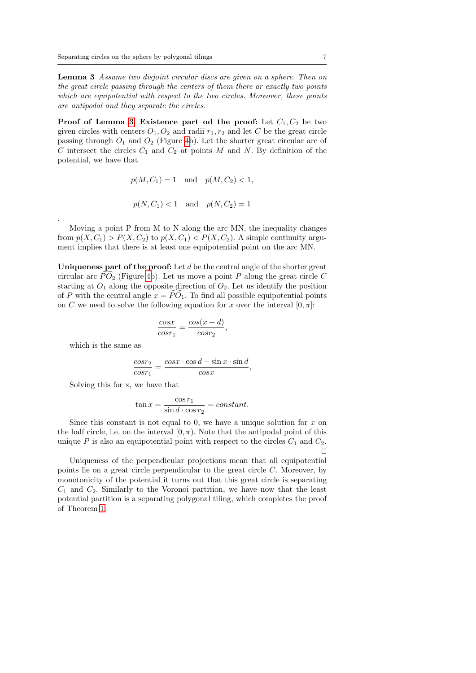Lemma 3 Assume two disjoint circular discs are given on a sphere. Then on the great circle passing through the centers of them there ar exactly two points which are equipotential with respect to the two circles. Moreover, these points are antipodal and they separate the circles.

**Proof of Lemma [3](#page-5-2). Existence part od the proof:** Let  $C_1, C_2$  be two given circles with centers  $O_1, O_2$  and radii  $r_1, r_2$  and let C be the great circle passing through  $O_1$  and  $O_2$  (Figure [4b](#page-5-1)). Let the shorter great circular arc of C intersect the circles  $C_1$  and  $C_2$  at points M and N. By definition of the potential, we have that

$$
p(M, C_1) = 1
$$
 and  $p(M, C_2) < 1$ ,

$$
p(N, C_1) < 1
$$
 and  $p(N, C_2) = 1$ 

Moving a point P from M to N along the arc MN, the inequality changes from  $p(X, C_1) > P(X, C_2)$  to  $p(X, C_1) < P(X, C_2)$ . A simple continuity argument implies that there is at least one equipotential point on the arc MN.

Uniqueness part of the proof: Let  $d$  be the central angle of the shorter great circular arc  $\widehat{PO}_2$  (Figure [4b](#page-5-1)). Let us move a point P along the great circle C starting at  $O_1$  along the opposite direction of  $O_2$ . Let us identify the position of P with the central angle  $x = PO<sub>1</sub>$ . To find all possible equipotential points on C we need to solve the following equation for x over the interval  $[0, \pi]$ :

$$
\frac{cosx}{cosr_1} = \frac{cos(x+d)}{cosr_2},
$$

which is the same as

.

$$
\frac{cosr_2}{cosr_1} = \frac{cosx \cdot cos d - sin x \cdot sin d}{cosx},
$$

Solving this for x, we have that

$$
\tan x = \frac{\cos r_1}{\sin d \cdot \cos r_2} = constant.
$$

Since this constant is not equal to 0, we have a unique solution for  $x$  on the half circle, i.e. on the interval  $[0, \pi)$ . Note that the antipodal point of this unique P is also an equipotential point with respect to the circles  $C_1$  and  $C_2$ .  $\Box$ 

Uniqueness of the perpendicular projections mean that all equipotential points lie on a great circle perpendicular to the great circle C. Moreover, by monotonicity of the potential it turns out that this great circle is separating  $C_1$  and  $C_2$ . Similarly to the Voronoi partition, we have now that the least potential partition is a separating polygonal tiling, which completes the proof of Theorem [1.](#page-2-1)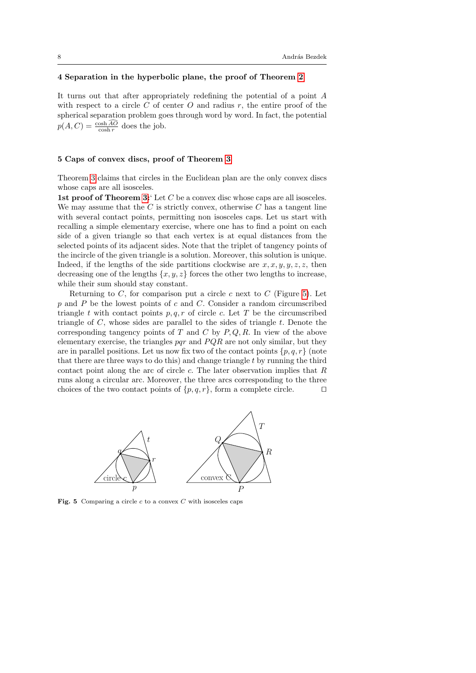## 4 Separation in the hyperbolic plane, the proof of Theorem [2](#page-2-2)

It turns out that after appropriately redefining the potential of a point A with respect to a circle C of center O and radius r, the entire proof of the spherical separation problem goes through word by word. In fact, the potential  $p(A, C) = \frac{\cosh A C}{\cosh r}$  does the job.

### 5 Caps of convex discs, proof of Theorem [3](#page-3-1)

Theorem [3](#page-3-1) claims that circles in the Euclidean plan are the only convex discs whose caps are all isosceles.

1st proof of Theorem [3:](#page-3-1) Let  $C$  be a convex disc whose caps are all isosceles. We may assume that the  $C$  is strictly convex, otherwise  $C$  has a tangent line with several contact points, permitting non isosceles caps. Let us start with recalling a simple elementary exercise, where one has to find a point on each side of a given triangle so that each vertex is at equal distances from the selected points of its adjacent sides. Note that the triplet of tangency points of the incircle of the given triangle is a solution. Moreover, this solution is unique. Indeed, if the lengths of the side partitions clockwise are  $x, x, y, y, z, z$ , then decreasing one of the lengths  $\{x, y, z\}$  forces the other two lengths to increase, while their sum should stay constant.

Returning to  $C$ , for comparison put a circle  $c$  next to  $C$  (Figure [5\)](#page-7-0). Let  $p$  and  $P$  be the lowest points of  $c$  and  $C$ . Consider a random circumscribed triangle t with contact points  $p, q, r$  of circle c. Let T be the circumscribed triangle of  $C$ , whose sides are parallel to the sides of triangle  $t$ . Denote the corresponding tangency points of  $T$  and  $C$  by  $P, Q, R$ . In view of the above elementary exercise, the triangles  $pqr$  and  $PQR$  are not only similar, but they are in parallel positions. Let us now fix two of the contact points  $\{p, q, r\}$  (note that there are three ways to do this) and change triangle t by running the third contact point along the arc of circle  $c$ . The later observation implies that  $R$ runs along a circular arc. Moreover, the three arcs corresponding to the three choices of the two contact points of  $\{p, q, r\}$ , form a complete circle.



<span id="page-7-0"></span>Fig. 5 Comparing a circle  $c$  to a convex  $C$  with isosceles caps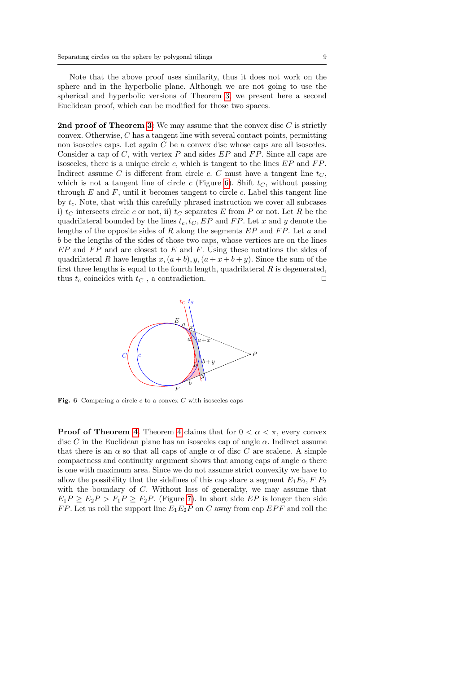Note that the above proof uses similarity, thus it does not work on the sphere and in the hyperbolic plane. Although we are not going to use the spherical and hyperbolic versions of Theorem [3,](#page-3-1) we present here a second Euclidean proof, which can be modified for those two spaces.

2nd proof of Theorem [3:](#page-3-1) We may assume that the convex disc  $C$  is strictly convex. Otherwise, C has a tangent line with several contact points, permitting non isosceles caps. Let again C be a convex disc whose caps are all isosceles. Consider a cap of  $C$ , with vertex  $P$  and sides  $EP$  and  $FP$ . Since all caps are isosceles, there is a unique circle c, which is tangent to the lines  $EP$  and  $FP$ . Indirect assume C is different from circle c. C must have a tangent line  $t<sub>C</sub>$ , which is not a tangent line of circle c (Figure [6\)](#page-8-0). Shift  $t<sub>C</sub>$ , without passing through  $E$  and  $F$ , until it becomes tangent to circle  $c$ . Label this tangent line by  $t_c$ . Note, that with this carefully phrased instruction we cover all subcases i)  $t_C$  intersects circle c or not, ii)  $t_C$  separates E from P or not. Let R be the quadrilateral bounded by the lines  $t_c, t_c, EP$  and  $FP$ . Let x and y denote the lengths of the opposite sides of R along the segments  $EP$  and  $FP$ . Let a and b be the lengths of the sides of those two caps, whose vertices are on the lines  $EP$  and  $FP$  and are closest to  $E$  and  $F$ . Using these notations the sides of quadrilateral R have lengths  $x,(a + b), y,(a + x + b + y)$ . Since the sum of the first three lengths is equal to the fourth length, quadrilateral  $R$  is degenerated, thus  $t_c$  coincides with  $t_C$ , a contradiction.



<span id="page-8-0"></span>Fig. 6 Comparing a circle  $c$  to a convex  $C$  with isosceles caps

**Proof of Theorem [4](#page-3-2).** Theorem 4 claims that for  $0 < \alpha < \pi$ , every convex disc C in the Euclidean plane has an isosceles cap of angle  $\alpha$ . Indirect assume that there is an  $\alpha$  so that all caps of angle  $\alpha$  of disc C are scalene. A simple compactness and continuity argument shows that among caps of angle  $\alpha$  there is one with maximum area. Since we do not assume strict convexity we have to allow the possibility that the sidelines of this cap share a segment  $E_1E_2, F_1F_2$ with the boundary of C. Without loss of generality, we may assume that  $E_1P \ge E_2P > F_1P \ge F_2P$ . (Figure [7\)](#page-9-0). In short side EP is longer then side FP. Let us roll the support line  $E_1E_2P$  on C away from cap EPF and roll the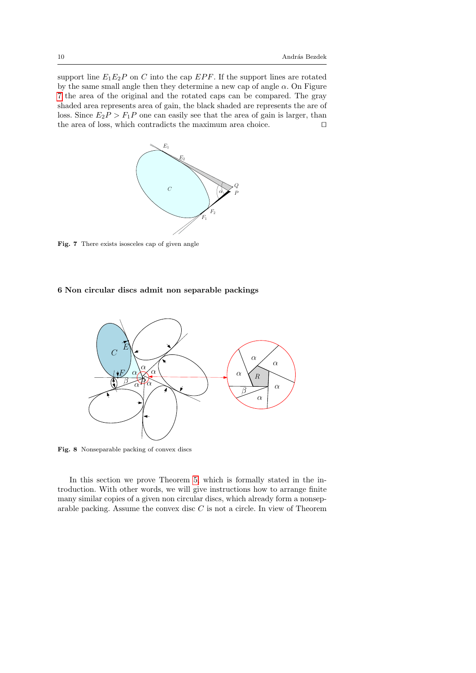support line  $E_1E_2P$  on C into the cap EPF. If the support lines are rotated by the same small angle then they determine a new cap of angle  $\alpha$ . On Figure [7](#page-9-0) the area of the original and the rotated caps can be compared. The gray shaded area represents area of gain, the black shaded are represents the are of loss. Since  $E_2P > F_1P$  one can easily see that the area of gain is larger, than the area of loss, which contradicts the maximum area choice.  $\Box$ 



<span id="page-9-0"></span>Fig. 7 There exists isosceles cap of given angle

## 6 Non circular discs admit non separable packings



<span id="page-9-1"></span>Fig. 8 Nonseparable packing of convex discs

In this section we prove Theorem [5,](#page-3-0) which is formally stated in the introduction. With other words, we will give instructions how to arrange finite many similar copies of a given non circular discs, which already form a nonseparable packing. Assume the convex disc  $C$  is not a circle. In view of Theorem